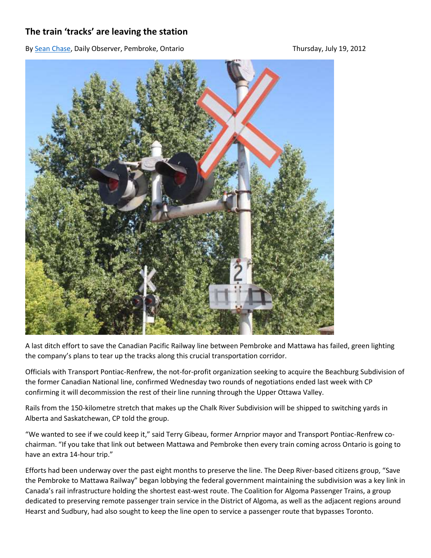## **The train 'tracks' are leaving the station**

B[y Sean Chase,](http://www.thedailyobserver.ca/author/sean-chase) Daily Observer, Pembroke, Ontario Thursday, July 19, 2012



A last ditch effort to save the Canadian Pacific Railway line between Pembroke and Mattawa has failed, green lighting the company's plans to tear up the tracks along this crucial transportation corridor.

Officials with Transport Pontiac-Renfrew, the not-for-profit organization seeking to acquire the Beachburg Subdivision of the former Canadian National line, confirmed Wednesday two rounds of negotiations ended last week with CP confirming it will decommission the rest of their line running through the Upper Ottawa Valley.

Rails from the 150-kilometre stretch that makes up the Chalk River Subdivision will be shipped to switching yards in Alberta and Saskatchewan, CP told the group.

"We wanted to see if we could keep it," said Terry Gibeau, former Arnprior mayor and Transport Pontiac-Renfrew cochairman. "If you take that link out between Mattawa and Pembroke then every train coming across Ontario is going to have an extra 14-hour trip."

Efforts had been underway over the past eight months to preserve the line. The Deep River-based citizens group, "Save the Pembroke to Mattawa Railway" began lobbying the federal government maintaining the subdivision was a key link in Canada's rail infrastructure holding the shortest east-west route. The Coalition for Algoma Passenger Trains, a group dedicated to preserving remote passenger train service in the District of Algoma, as well as the adjacent regions around Hearst and Sudbury, had also sought to keep the line open to service a passenger route that bypasses Toronto.